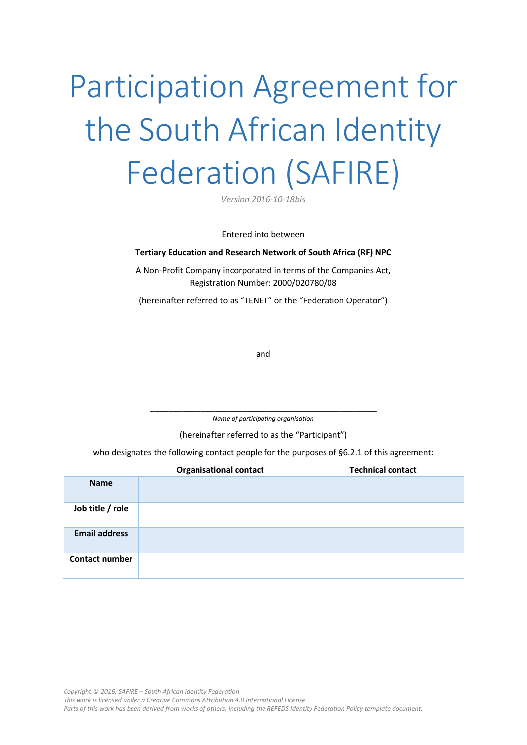# Participation Agreement for the South African Identity Federation (SAFIRE)

*Version 2016-10-18bis* 

Entered into between

#### **Tertiary Education and Research Network of South Africa (RF) NPC**

A Non-Profit Company incorporated in terms of the Companies Act, Registration Number: 2000/020780/08

(hereinafter referred to as "TENET" or the "Federation Operator")

and

\_\_\_\_\_\_\_\_\_\_\_\_\_\_\_\_\_\_\_\_\_\_\_\_\_\_\_\_\_\_\_\_\_\_\_\_\_\_\_\_\_\_\_\_\_\_\_\_\_ *Name of participating organisation*

(hereinafter referred to as the "Participant")

who designates the following contact people for the purposes of [§6.2.1](#page-4-0) of this agreement:

|                       | <b>Organisational contact</b> | <b>Technical contact</b> |
|-----------------------|-------------------------------|--------------------------|
| <b>Name</b>           |                               |                          |
| Job title / role      |                               |                          |
| <b>Email address</b>  |                               |                          |
| <b>Contact number</b> |                               |                          |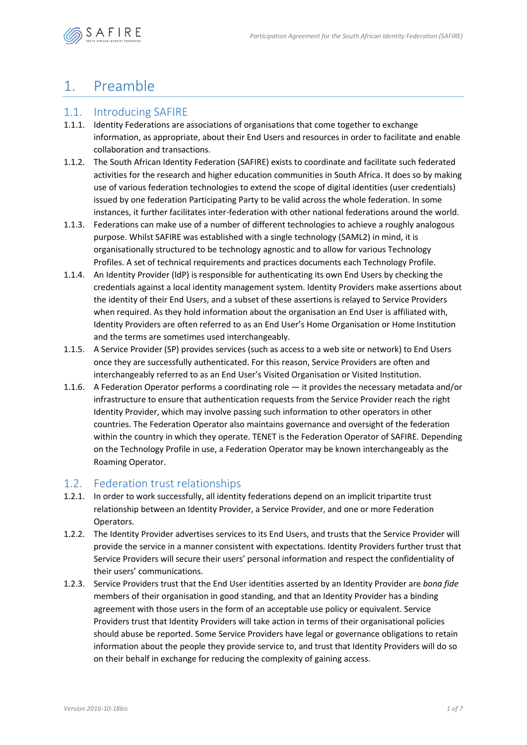

## 1. Preamble

### 1.1. Introducing SAFIRE

- 1.1.1. Identity Federations are associations of organisations that come together to exchange information, as appropriate, about their End Users and resources in order to facilitate and enable collaboration and transactions.
- 1.1.2. The South African Identity Federation (SAFIRE) exists to coordinate and facilitate such federated activities for the research and higher education communities in South Africa. It does so by making use of various federation technologies to extend the scope of digital identities (user credentials) issued by one federation Participating Party to be valid across the whole federation. In some instances, it further facilitates inter-federation with other national federations around the world.
- 1.1.3. Federations can make use of a number of different technologies to achieve a roughly analogous purpose. Whilst SAFIRE was established with a single technology (SAML2) in mind, it is organisationally structured to be technology agnostic and to allow for various Technology Profiles. A set of technical requirements and practices documents each Technology Profile.
- 1.1.4. An Identity Provider (IdP) is responsible for authenticating its own End Users by checking the credentials against a local identity management system. Identity Providers make assertions about the identity of their End Users, and a subset of these assertions is relayed to Service Providers when required. As they hold information about the organisation an End User is affiliated with, Identity Providers are often referred to as an End User's Home Organisation or Home Institution and the terms are sometimes used interchangeably.
- 1.1.5. A Service Provider (SP) provides services (such as access to a web site or network) to End Users once they are successfully authenticated. For this reason, Service Providers are often and interchangeably referred to as an End User's Visited Organisation or Visited Institution.
- 1.1.6. A Federation Operator performs a coordinating role it provides the necessary metadata and/or infrastructure to ensure that authentication requests from the Service Provider reach the right Identity Provider, which may involve passing such information to other operators in other countries. The Federation Operator also maintains governance and oversight of the federation within the country in which they operate. TENET is the Federation Operator of SAFIRE. Depending on the Technology Profile in use, a Federation Operator may be known interchangeably as the Roaming Operator.

### <span id="page-1-0"></span>1.2. Federation trust relationships

- 1.2.1. In order to work successfully, all identity federations depend on an implicit tripartite trust relationship between an Identity Provider, a Service Provider, and one or more Federation Operators.
- 1.2.2. The Identity Provider advertises services to its End Users, and trusts that the Service Provider will provide the service in a manner consistent with expectations. Identity Providers further trust that Service Providers will secure their users' personal information and respect the confidentiality of their users' communications.
- 1.2.3. Service Providers trust that the End User identities asserted by an Identity Provider are *bona fide* members of their organisation in good standing, and that an Identity Provider has a binding agreement with those users in the form of an acceptable use policy or equivalent. Service Providers trust that Identity Providers will take action in terms of their organisational policies should abuse be reported. Some Service Providers have legal or governance obligations to retain information about the people they provide service to, and trust that Identity Providers will do so on their behalf in exchange for reducing the complexity of gaining access.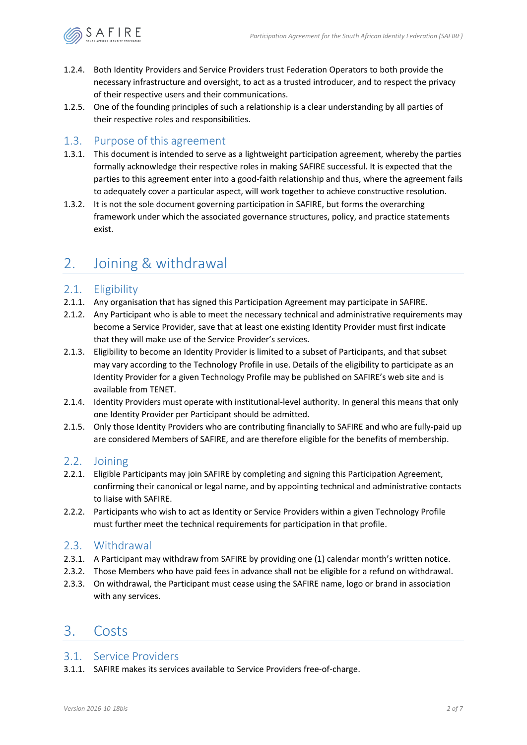

- 1.2.4. Both Identity Providers and Service Providers trust Federation Operators to both provide the necessary infrastructure and oversight, to act as a trusted introducer, and to respect the privacy of their respective users and their communications.
- 1.2.5. One of the founding principles of such a relationship is a clear understanding by all parties of their respective roles and responsibilities.

### 1.3. Purpose of this agreement

- 1.3.1. This document is intended to serve as a lightweight participation agreement, whereby the parties formally acknowledge their respective roles in making SAFIRE successful. It is expected that the parties to this agreement enter into a good-faith relationship and thus, where the agreement fails to adequately cover a particular aspect, will work together to achieve constructive resolution.
- 1.3.2. It is not the sole document governing participation in SAFIRE, but forms the overarching framework under which the associated governance structures, policy, and practice statements exist.

### 2. Joining & withdrawal

### 2.1. Eligibility

- 2.1.1. Any organisation that has signed this Participation Agreement may participate in SAFIRE.
- 2.1.2. Any Participant who is able to meet the necessary technical and administrative requirements may become a Service Provider, save that at least one existing Identity Provider must first indicate that they will make use of the Service Provider's services.
- 2.1.3. Eligibility to become an Identity Provider is limited to a subset of Participants, and that subset may vary according to the Technology Profile in use. Details of the eligibility to participate as an Identity Provider for a given Technology Profile may be published on SAFIRE's web site and is available from TENET.
- 2.1.4. Identity Providers must operate with institutional-level authority. In general this means that only one Identity Provider per Participant should be admitted.
- 2.1.5. Only those Identity Providers who are contributing financially to SAFIRE and who are fully-paid up are considered Members of SAFIRE, and are therefore eligible for the benefits of membership.

### 2.2. Joining

- 2.2.1. Eligible Participants may join SAFIRE by completing and signing this Participation Agreement, confirming their canonical or legal name, and by appointing technical and administrative contacts to liaise with SAFIRE.
- 2.2.2. Participants who wish to act as Identity or Service Providers within a given Technology Profile must further meet the technical requirements for participation in that profile.

#### 2.3. Withdrawal

- 2.3.1. A Participant may withdraw from SAFIRE by providing one (1) calendar month's written notice.
- 2.3.2. Those Members who have paid fees in advance shall not be eligible for a refund on withdrawal.
- 2.3.3. On withdrawal, the Participant must cease using the SAFIRE name, logo or brand in association with any services.

### 3. Costs

#### 3.1. Service Providers

3.1.1. SAFIRE makes its services available to Service Providers free-of-charge.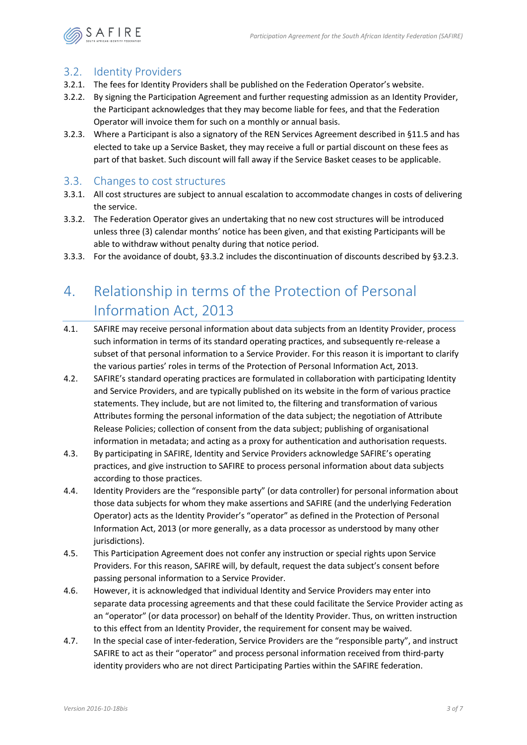

### 3.2. Identity Providers

- 3.2.1. The fees for Identity Providers shall be published on the Federation Operator's website.
- 3.2.2. By signing the Participation Agreement and further requesting admission as an Identity Provider, the Participant acknowledges that they may become liable for fees, and that the Federation Operator will invoice them for such on a monthly or annual basis.
- <span id="page-3-1"></span>3.2.3. Where a Participant is also a signatory of the REN Services Agreement described in [§11.5](#page-7-0) and has elected to take up a Service Basket, they may receive a full or partial discount on these fees as part of that basket. Such discount will fall away if the Service Basket ceases to be applicable.

### 3.3. Changes to cost structures

- 3.3.1. All cost structures are subject to annual escalation to accommodate changes in costs of delivering the service.
- <span id="page-3-0"></span>3.3.2. The Federation Operator gives an undertaking that no new cost structures will be introduced unless three (3) calendar months' notice has been given, and that existing Participants will be able to withdraw without penalty during that notice period.
- 3.3.3. For the avoidance of doubt, [§3.3.2](#page-3-0) includes the discontinuation of discounts described by [§3.2.3.](#page-3-1)

# 4. Relationship in terms of the Protection of Personal Information Act, 2013

- 4.1. SAFIRE may receive personal information about data subjects from an Identity Provider, process such information in terms of its standard operating practices, and subsequently re-release a subset of that personal information to a Service Provider. For this reason it is important to clarify the various parties' roles in terms of the Protection of Personal Information Act, 2013.
- 4.2. SAFIRE's standard operating practices are formulated in collaboration with participating Identity and Service Providers, and are typically published on its website in the form of various practice statements. They include, but are not limited to, the filtering and transformation of various Attributes forming the personal information of the data subject; the negotiation of Attribute Release Policies; collection of consent from the data subject; publishing of organisational information in metadata; and acting as a proxy for authentication and authorisation requests.
- 4.3. By participating in SAFIRE, Identity and Service Providers acknowledge SAFIRE's operating practices, and give instruction to SAFIRE to process personal information about data subjects according to those practices.
- 4.4. Identity Providers are the "responsible party" (or data controller) for personal information about those data subjects for whom they make assertions and SAFIRE (and the underlying Federation Operator) acts as the Identity Provider's "operator" as defined in the Protection of Personal Information Act, 2013 (or more generally, as a data processor as understood by many other jurisdictions).
- 4.5. This Participation Agreement does not confer any instruction or special rights upon Service Providers. For this reason, SAFIRE will, by default, request the data subject's consent before passing personal information to a Service Provider.
- 4.6. However, it is acknowledged that individual Identity and Service Providers may enter into separate data processing agreements and that these could facilitate the Service Provider acting as an "operator" (or data processor) on behalf of the Identity Provider. Thus, on written instruction to this effect from an Identity Provider, the requirement for consent may be waived.
- 4.7. In the special case of inter-federation, Service Providers are the "responsible party", and instruct SAFIRE to act as their "operator" and process personal information received from third-party identity providers who are not direct Participating Parties within the SAFIRE federation.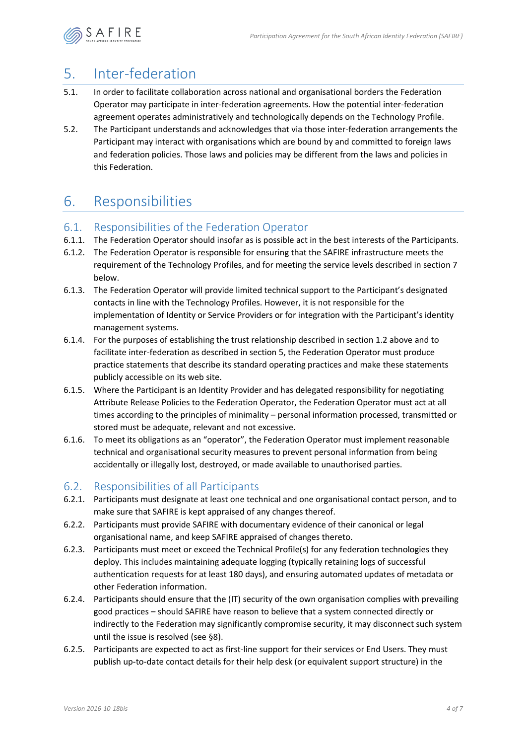

# <span id="page-4-1"></span>5. Inter-federation

- 5.1. In order to facilitate collaboration across national and organisational borders the Federation Operator may participate in inter-federation agreements. How the potential inter-federation agreement operates administratively and technologically depends on the Technology Profile.
- 5.2. The Participant understands and acknowledges that via those inter-federation arrangements the Participant may interact with organisations which are bound by and committed to foreign laws and federation policies. Those laws and policies may be different from the laws and policies in this Federation.

# 6. Responsibilities

### 6.1. Responsibilities of the Federation Operator

- 6.1.1. The Federation Operator should insofar as is possible act in the best interests of the Participants.
- 6.1.2. The Federation Operator is responsible for ensuring that the SAFIRE infrastructure meets the requirement of the Technology Profiles, and for meeting the service levels described in section [7](#page-6-0)  [below.](#page-6-0)
- 6.1.3. The Federation Operator will provide limited technical support to the Participant's designated contacts in line with the Technology Profiles. However, it is not responsible for the implementation of Identity or Service Providers or for integration with the Participant's identity management systems.
- 6.1.4. For the purposes of establishing the trust relationship described in sectio[n 1.2 above](#page-1-0) and to facilitate inter-federation as described in section [5,](#page-4-1) the Federation Operator must produce practice statements that describe its standard operating practices and make these statements publicly accessible on its web site.
- 6.1.5. Where the Participant is an Identity Provider and has delegated responsibility for negotiating Attribute Release Policies to the Federation Operator, the Federation Operator must act at all times according to the principles of minimality – personal information processed, transmitted or stored must be adequate, relevant and not excessive.
- 6.1.6. To meet its obligations as an "operator", the Federation Operator must implement reasonable technical and organisational security measures to prevent personal information from being accidentally or illegally lost, destroyed, or made available to unauthorised parties.

### 6.2. Responsibilities of all Participants

- <span id="page-4-0"></span>6.2.1. Participants must designate at least one technical and one organisational contact person, and to make sure that SAFIRE is kept appraised of any changes thereof.
- 6.2.2. Participants must provide SAFIRE with documentary evidence of their canonical or legal organisational name, and keep SAFIRE appraised of changes thereto.
- 6.2.3. Participants must meet or exceed the Technical Profile(s) for any federation technologies they deploy. This includes maintaining adequate logging (typically retaining logs of successful authentication requests for at least 180 days), and ensuring automated updates of metadata or other Federation information.
- 6.2.4. Participants should ensure that the (IT) security of the own organisation complies with prevailing good practices – should SAFIRE have reason to believe that a system connected directly or indirectly to the Federation may significantly compromise security, it may disconnect such system until the issue is resolved (see [§8\)](#page-6-1).
- 6.2.5. Participants are expected to act as first-line support for their services or End Users. They must publish up-to-date contact details for their help desk (or equivalent support structure) in the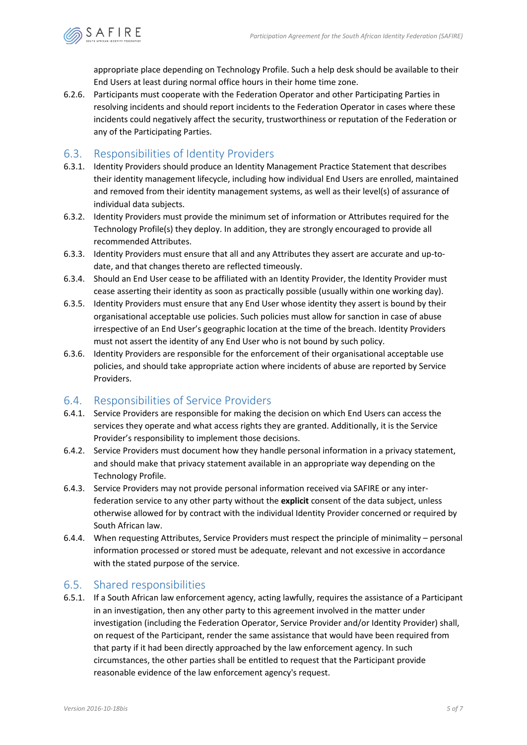

appropriate place depending on Technology Profile. Such a help desk should be available to their End Users at least during normal office hours in their home time zone.

6.2.6. Participants must cooperate with the Federation Operator and other Participating Parties in resolving incidents and should report incidents to the Federation Operator in cases where these incidents could negatively affect the security, trustworthiness or reputation of the Federation or any of the Participating Parties.

### 6.3. Responsibilities of Identity Providers

- 6.3.1. Identity Providers should produce an Identity Management Practice Statement that describes their identity management lifecycle, including how individual End Users are enrolled, maintained and removed from their identity management systems, as well as their level(s) of assurance of individual data subjects.
- 6.3.2. Identity Providers must provide the minimum set of information or Attributes required for the Technology Profile(s) they deploy. In addition, they are strongly encouraged to provide all recommended Attributes.
- 6.3.3. Identity Providers must ensure that all and any Attributes they assert are accurate and up-todate, and that changes thereto are reflected timeously.
- 6.3.4. Should an End User cease to be affiliated with an Identity Provider, the Identity Provider must cease asserting their identity as soon as practically possible (usually within one working day).
- 6.3.5. Identity Providers must ensure that any End User whose identity they assert is bound by their organisational acceptable use policies. Such policies must allow for sanction in case of abuse irrespective of an End User's geographic location at the time of the breach. Identity Providers must not assert the identity of any End User who is not bound by such policy.
- 6.3.6. Identity Providers are responsible for the enforcement of their organisational acceptable use policies, and should take appropriate action where incidents of abuse are reported by Service Providers.

### 6.4. Responsibilities of Service Providers

- 6.4.1. Service Providers are responsible for making the decision on which End Users can access the services they operate and what access rights they are granted. Additionally, it is the Service Provider's responsibility to implement those decisions.
- 6.4.2. Service Providers must document how they handle personal information in a privacy statement, and should make that privacy statement available in an appropriate way depending on the Technology Profile.
- 6.4.3. Service Providers may not provide personal information received via SAFIRE or any interfederation service to any other party without the **explicit** consent of the data subject, unless otherwise allowed for by contract with the individual Identity Provider concerned or required by South African law.
- 6.4.4. When requesting Attributes, Service Providers must respect the principle of minimality personal information processed or stored must be adequate, relevant and not excessive in accordance with the stated purpose of the service.

### 6.5. Shared responsibilities

6.5.1. If a South African law enforcement agency, acting lawfully, requires the assistance of a Participant in an investigation, then any other party to this agreement involved in the matter under investigation (including the Federation Operator, Service Provider and/or Identity Provider) shall, on request of the Participant, render the same assistance that would have been required from that party if it had been directly approached by the law enforcement agency. In such circumstances, the other parties shall be entitled to request that the Participant provide reasonable evidence of the law enforcement agency's request.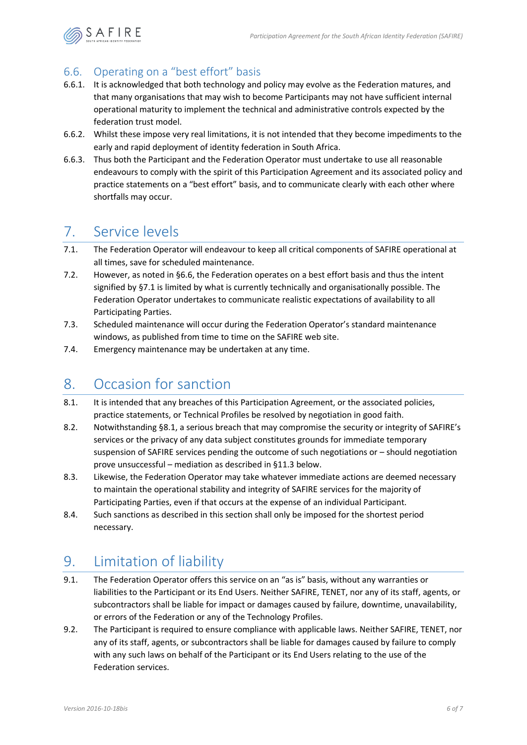

### <span id="page-6-2"></span>6.6. Operating on a "best effort" basis

- 6.6.1. It is acknowledged that both technology and policy may evolve as the Federation matures, and that many organisations that may wish to become Participants may not have sufficient internal operational maturity to implement the technical and administrative controls expected by the federation trust model.
- 6.6.2. Whilst these impose very real limitations, it is not intended that they become impediments to the early and rapid deployment of identity federation in South Africa.
- 6.6.3. Thus both the Participant and the Federation Operator must undertake to use all reasonable endeavours to comply with the spirit of this Participation Agreement and its associated policy and practice statements on a "best effort" basis, and to communicate clearly with each other where shortfalls may occur.

## <span id="page-6-0"></span>7. Service levels

- <span id="page-6-3"></span>7.1. The Federation Operator will endeavour to keep all critical components of SAFIRE operational at all times, save for scheduled maintenance.
- 7.2. However, as noted in [§6.6,](#page-6-2) the Federation operates on a best effort basis and thus the intent signified by [§7.1](#page-6-3) is limited by what is currently technically and organisationally possible. The Federation Operator undertakes to communicate realistic expectations of availability to all Participating Parties.
- 7.3. Scheduled maintenance will occur during the Federation Operator's standard maintenance windows, as published from time to time on the SAFIRE web site.
- 7.4. Emergency maintenance may be undertaken at any time.

# <span id="page-6-1"></span>8. Occasion for sanction

- <span id="page-6-4"></span>8.1. It is intended that any breaches of this Participation Agreement, or the associated policies, practice statements, or Technical Profiles be resolved by negotiation in good faith.
- 8.2. Notwithstanding [§8.1,](#page-6-4) a serious breach that may compromise the security or integrity of SAFIRE's services or the privacy of any data subject constitutes grounds for immediate temporary suspension of SAFIRE services pending the outcome of such negotiations or – should negotiation prove unsuccessful – mediation as described in [§11.3 below.](#page-7-1)
- 8.3. Likewise, the Federation Operator may take whatever immediate actions are deemed necessary to maintain the operational stability and integrity of SAFIRE services for the majority of Participating Parties, even if that occurs at the expense of an individual Participant.
- 8.4. Such sanctions as described in this section shall only be imposed for the shortest period necessary.

# 9. Limitation of liability

- 9.1. The Federation Operator offers this service on an "as is" basis, without any warranties or liabilities to the Participant or its End Users. Neither SAFIRE, TENET, nor any of its staff, agents, or subcontractors shall be liable for impact or damages caused by failure, downtime, unavailability, or errors of the Federation or any of the Technology Profiles.
- 9.2. The Participant is required to ensure compliance with applicable laws. Neither SAFIRE, TENET, nor any of its staff, agents, or subcontractors shall be liable for damages caused by failure to comply with any such laws on behalf of the Participant or its End Users relating to the use of the Federation services.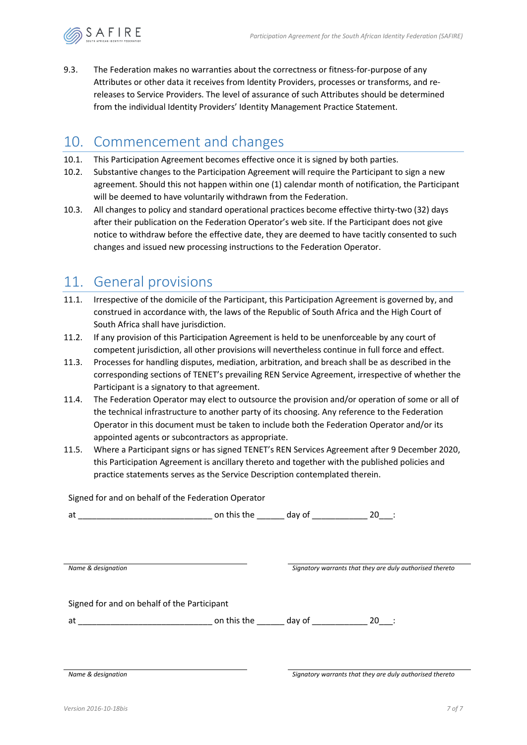

9.3. The Federation makes no warranties about the correctness or fitness-for-purpose of any Attributes or other data it receives from Identity Providers, processes or transforms, and rereleases to Service Providers. The level of assurance of such Attributes should be determined from the individual Identity Providers' Identity Management Practice Statement.

### 10. Commencement and changes

- 10.1. This Participation Agreement becomes effective once it is signed by both parties.
- 10.2. Substantive changes to the Participation Agreement will require the Participant to sign a new agreement. Should this not happen within one (1) calendar month of notification, the Participant will be deemed to have voluntarily withdrawn from the Federation.
- 10.3. All changes to policy and standard operational practices become effective thirty-two (32) days after their publication on the Federation Operator's web site. If the Participant does not give notice to withdraw before the effective date, they are deemed to have tacitly consented to such changes and issued new processing instructions to the Federation Operator.

### 11. General provisions

- 11.1. Irrespective of the domicile of the Participant, this Participation Agreement is governed by, and construed in accordance with, the laws of the Republic of South Africa and the High Court of South Africa shall have jurisdiction.
- 11.2. If any provision of this Participation Agreement is held to be unenforceable by any court of competent jurisdiction, all other provisions will nevertheless continue in full force and effect.
- <span id="page-7-1"></span>11.3. Processes for handling disputes, mediation, arbitration, and breach shall be as described in the corresponding sections of TENET's prevailing REN Service Agreement, irrespective of whether the Participant is a signatory to that agreement.
- 11.4. The Federation Operator may elect to outsource the provision and/or operation of some or all of the technical infrastructure to another party of its choosing. Any reference to the Federation Operator in this document must be taken to include both the Federation Operator and/or its appointed agents or subcontractors as appropriate.
- <span id="page-7-0"></span>11.5. Where a Participant signs or has signed TENET's REN Services Agreement after 9 December 2020, this Participation Agreement is ancillary thereto and together with the published policies and practice statements serves as the Service Description contemplated therein.

Signed for and on behalf of the Federation Operator

| $\sim$ |  |  |
|--------|--|--|
|        |  |  |

| Name & designation                          |             | Signatory warrants that they are duly authorised thereto |        |  |
|---------------------------------------------|-------------|----------------------------------------------------------|--------|--|
|                                             |             |                                                          |        |  |
|                                             |             |                                                          |        |  |
| Signed for and on behalf of the Participant |             |                                                          |        |  |
| at                                          | on this the | day of                                                   | $20$ : |  |
|                                             |             |                                                          |        |  |
|                                             |             |                                                          |        |  |
|                                             |             |                                                          |        |  |

*Name & designation Signatory warrants that they are duly authorised thereto*